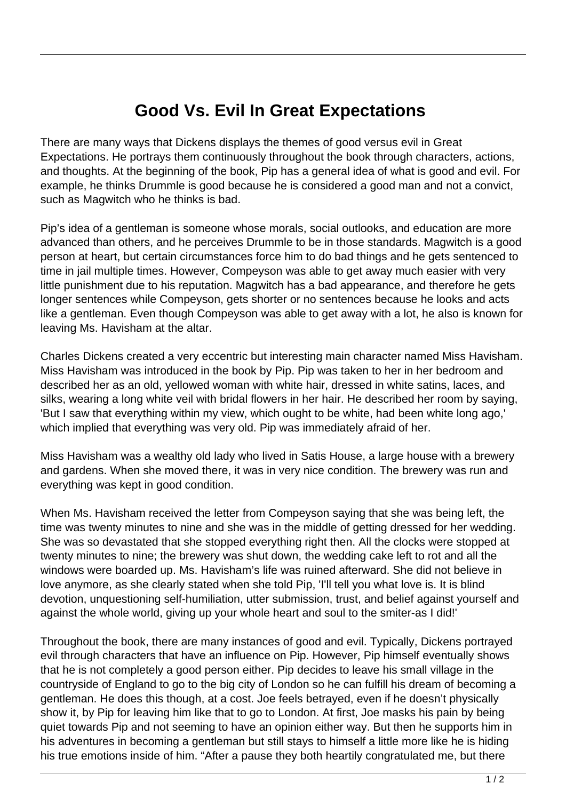## **Good Vs. Evil In Great Expectations**

There are many ways that Dickens displays the themes of good versus evil in Great Expectations. He portrays them continuously throughout the book through characters, actions, and thoughts. At the beginning of the book, Pip has a general idea of what is good and evil. For example, he thinks Drummle is good because he is considered a good man and not a convict, such as Magwitch who he thinks is bad.

Pip's idea of a gentleman is someone whose morals, social outlooks, and education are more advanced than others, and he perceives Drummle to be in those standards. Magwitch is a good person at heart, but certain circumstances force him to do bad things and he gets sentenced to time in jail multiple times. However, Compeyson was able to get away much easier with very little punishment due to his reputation. Magwitch has a bad appearance, and therefore he gets longer sentences while Compeyson, gets shorter or no sentences because he looks and acts like a gentleman. Even though Compeyson was able to get away with a lot, he also is known for leaving Ms. Havisham at the altar.

Charles Dickens created a very eccentric but interesting main character named Miss Havisham. Miss Havisham was introduced in the book by Pip. Pip was taken to her in her bedroom and described her as an old, yellowed woman with white hair, dressed in white satins, laces, and silks, wearing a long white veil with bridal flowers in her hair. He described her room by saying, 'But I saw that everything within my view, which ought to be white, had been white long ago,' which implied that everything was very old. Pip was immediately afraid of her.

Miss Havisham was a wealthy old lady who lived in Satis House, a large house with a brewery and gardens. When she moved there, it was in very nice condition. The brewery was run and everything was kept in good condition.

When Ms. Havisham received the letter from Compeyson saying that she was being left, the time was twenty minutes to nine and she was in the middle of getting dressed for her wedding. She was so devastated that she stopped everything right then. All the clocks were stopped at twenty minutes to nine; the brewery was shut down, the wedding cake left to rot and all the windows were boarded up. Ms. Havisham's life was ruined afterward. She did not believe in love anymore, as she clearly stated when she told Pip, 'I'll tell you what love is. It is blind devotion, unquestioning self-humiliation, utter submission, trust, and belief against yourself and against the whole world, giving up your whole heart and soul to the smiter-as I did!'

Throughout the book, there are many instances of good and evil. Typically, Dickens portrayed evil through characters that have an influence on Pip. However, Pip himself eventually shows that he is not completely a good person either. Pip decides to leave his small village in the countryside of England to go to the big city of London so he can fulfill his dream of becoming a gentleman. He does this though, at a cost. Joe feels betrayed, even if he doesn't physically show it, by Pip for leaving him like that to go to London. At first, Joe masks his pain by being quiet towards Pip and not seeming to have an opinion either way. But then he supports him in his adventures in becoming a gentleman but still stays to himself a little more like he is hiding his true emotions inside of him. "After a pause they both heartily congratulated me, but there